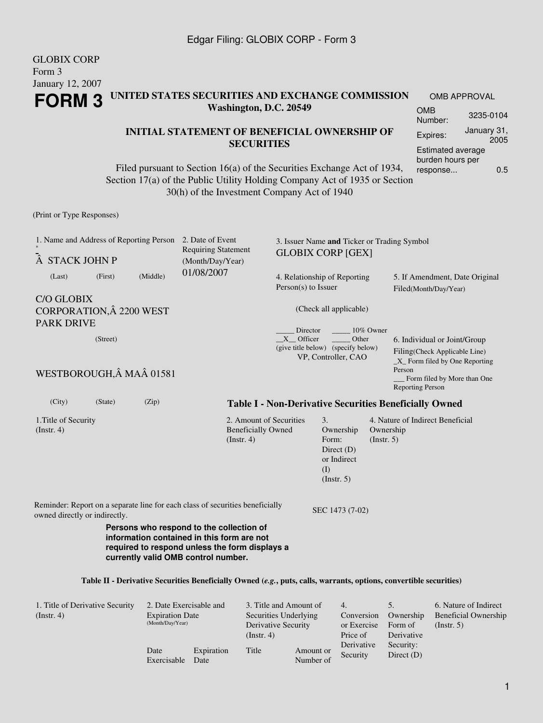GLOBIX CORP

| Form 3<br>January 12, 2007                                                                                     |                                            |                                                                                                                                                                                                      |                                                                        |                                                                                 |                                       |                                                                                                    |                                                         |     |  |
|----------------------------------------------------------------------------------------------------------------|--------------------------------------------|------------------------------------------------------------------------------------------------------------------------------------------------------------------------------------------------------|------------------------------------------------------------------------|---------------------------------------------------------------------------------|---------------------------------------|----------------------------------------------------------------------------------------------------|---------------------------------------------------------|-----|--|
| UNITED STATES SECURITIES AND EXCHANGE COMMISSION<br><b>FORM3</b>                                               |                                            |                                                                                                                                                                                                      |                                                                        |                                                                                 |                                       | OMB APPROVAL                                                                                       |                                                         |     |  |
| Washington, D.C. 20549                                                                                         |                                            |                                                                                                                                                                                                      |                                                                        |                                                                                 | <b>OMB</b><br>Number:                 | 3235-0104                                                                                          |                                                         |     |  |
|                                                                                                                |                                            | <b>INITIAL STATEMENT OF BENEFICIAL OWNERSHIP OF</b>                                                                                                                                                  |                                                                        |                                                                                 |                                       | Expires:                                                                                           | January 31,                                             |     |  |
| <b>SECURITIES</b>                                                                                              |                                            |                                                                                                                                                                                                      |                                                                        |                                                                                 | Estimated average<br>burden hours per |                                                                                                    | 2005                                                    |     |  |
|                                                                                                                |                                            | Filed pursuant to Section 16(a) of the Securities Exchange Act of 1934,<br>Section 17(a) of the Public Utility Holding Company Act of 1935 or Section<br>30(h) of the Investment Company Act of 1940 |                                                                        |                                                                                 |                                       | response                                                                                           |                                                         | 0.5 |  |
| (Print or Type Responses)                                                                                      |                                            |                                                                                                                                                                                                      |                                                                        |                                                                                 |                                       |                                                                                                    |                                                         |     |  |
| 1. Name and Address of Reporting Person<br>STACK JOHN P                                                        |                                            | 2. Date of Event<br><b>Requiring Statement</b><br>(Month/Day/Year)                                                                                                                                   |                                                                        | 3. Issuer Name and Ticker or Trading Symbol<br><b>GLOBIX CORP [GEX]</b>         |                                       |                                                                                                    |                                                         |     |  |
| (First)<br>(Last)                                                                                              | (Middle)                                   | 01/08/2007                                                                                                                                                                                           |                                                                        | 4. Relationship of Reporting<br>$Person(s)$ to Issuer                           |                                       |                                                                                                    | 5. If Amendment, Date Original<br>Filed(Month/Day/Year) |     |  |
| <b>C/O GLOBIX</b><br>CORPORATION, Â 2200 WEST<br><b>PARK DRIVE</b>                                             |                                            |                                                                                                                                                                                                      |                                                                        | (Check all applicable)                                                          |                                       |                                                                                                    |                                                         |     |  |
| (Street)                                                                                                       |                                            |                                                                                                                                                                                                      | Director<br>$X$ Officer                                                | 10% Owner<br>Other<br>(give title below) (specify below)<br>VP, Controller, CAO |                                       | 6. Individual or Joint/Group<br>Filing(Check Applicable Line)<br>$\_X$ Form filed by One Reporting |                                                         |     |  |
| WESTBOROUGH, MA 01581                                                                                          |                                            |                                                                                                                                                                                                      |                                                                        |                                                                                 | Person                                | Form filed by More than One<br><b>Reporting Person</b>                                             |                                                         |     |  |
| (City)<br>(State)                                                                                              | (Zip)                                      |                                                                                                                                                                                                      | <b>Table I - Non-Derivative Securities Beneficially Owned</b>          |                                                                                 |                                       |                                                                                                    |                                                         |     |  |
| 1. Title of Security<br>$($ Instr. 4 $)$                                                                       |                                            | $($ Instr. 4 $)$                                                                                                                                                                                     | 2. Amount of Securities<br><b>Beneficially Owned</b>                   | 3.<br>Ownership<br>Form:<br>Direct $(D)$<br>or Indirect<br>(I)<br>(Insert. 5)   | Ownership<br>(Insert. 5)              | 4. Nature of Indirect Beneficial                                                                   |                                                         |     |  |
| Reminder: Report on a separate line for each class of securities beneficially<br>owned directly or indirectly. |                                            |                                                                                                                                                                                                      |                                                                        | SEC 1473 (7-02)                                                                 |                                       |                                                                                                    |                                                         |     |  |
|                                                                                                                |                                            | Persons who respond to the collection of<br>information contained in this form are not<br>required to respond unless the form displays a<br>currently valid OMB control number.                      |                                                                        |                                                                                 |                                       |                                                                                                    |                                                         |     |  |
|                                                                                                                |                                            | Table II - Derivative Securities Beneficially Owned (e.g., puts, calls, warrants, options, convertible securities)                                                                                   |                                                                        |                                                                                 |                                       |                                                                                                    |                                                         |     |  |
| 1. Title of Derivative Security<br>(Instr. 4)                                                                  | <b>Expiration Date</b><br>(Month/Day/Year) | 2. Date Exercisable and                                                                                                                                                                              | 3. Title and Amount of<br>Securities Underlying<br>Derivative Security | 4.<br>Conversion<br>or Exercise                                                 | 5.<br>Ownership<br>Form of            | $($ Instr. 5 $)$                                                                                   | 6. Nature of Indirect<br><b>Beneficial Ownership</b>    |     |  |

(Instr. 4)

Title Amount or

Number of

Date

Exercisable Date

Expiration

Derivative Security: Direct (D)

Price of Derivative Security

1